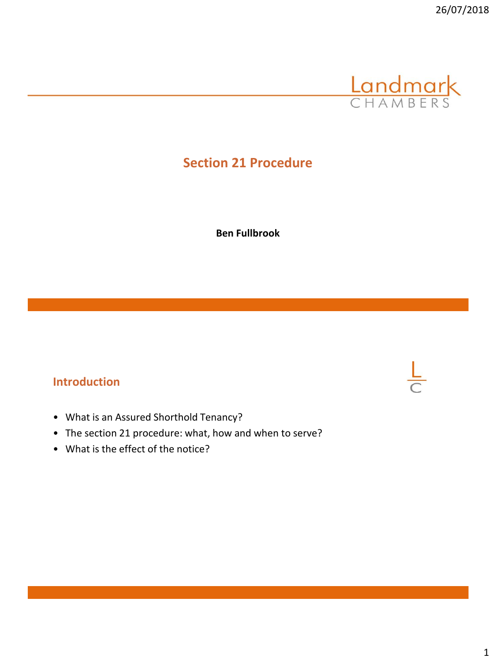

**Ben Fullbrook**

## **Introduction**

- What is an Assured Shorthold Tenancy?
- The section 21 procedure: what, how and when to serve?
- What is the effect of the notice?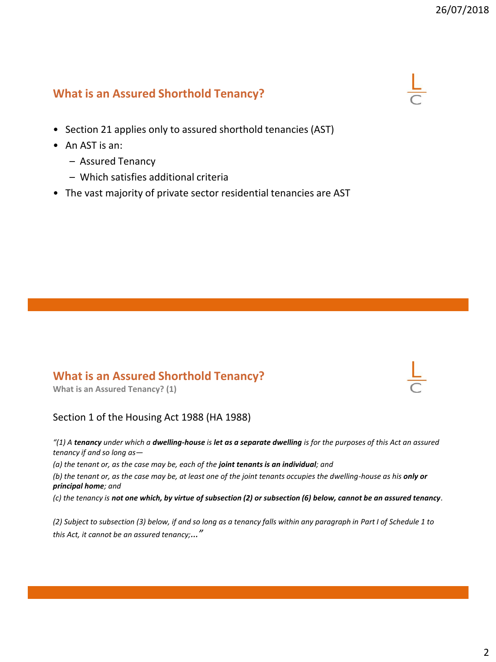## **What is an Assured Shorthold Tenancy?**

- Section 21 applies only to assured shorthold tenancies (AST)
- An AST is an:
	- Assured Tenancy
	- Which satisfies additional criteria
- The vast majority of private sector residential tenancies are AST

#### **What is an Assured Shorthold Tenancy?**

**What is an Assured Tenancy? (1)**

#### Section 1 of the Housing Act 1988 (HA 1988)

*"(1) A tenancy under which a dwelling-house is let as a separate dwelling is for the purposes of this Act an assured tenancy if and so long as—*

*(a) the tenant or, as the case may be, each of the joint tenants is an individual; and*

*(b) the tenant or, as the case may be, at least one of the joint tenants occupies the dwelling-house as his only or principal home; and*

*(c) the tenancy is not one which, by virtue of subsection (2) or subsection (6) below, cannot be an assured tenancy.*

*(2) Subject to subsection (3) below, if and so long as a tenancy falls within any paragraph in Part I of Schedule 1 to this Act, it cannot be an assured tenancy;…"*

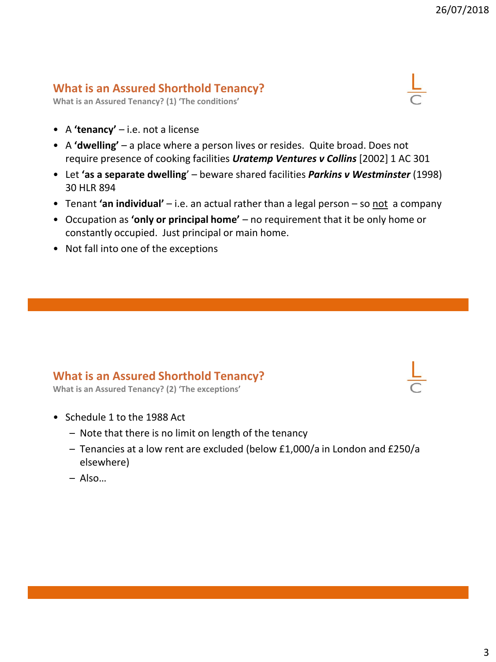#### **What is an Assured Shorthold Tenancy?**

**What is an Assured Tenancy? (1) 'The conditions'**

- A **'tenancy'** i.e. not a license
- A **'dwelling'** a place where a person lives or resides. Quite broad. Does not require presence of cooking facilities *Uratemp Ventures v Collins* [2002] 1 AC 301
- Let **'as a separate dwelling**' beware shared facilities *Parkins v Westminster* (1998) 30 HLR 894
- Tenant **'an individual'** i.e. an actual rather than a legal person so not a company
- Occupation as **'only or principal home'** no requirement that it be only home or constantly occupied. Just principal or main home.
- Not fall into one of the exceptions

#### **What is an Assured Shorthold Tenancy?**

**What is an Assured Tenancy? (2) 'The exceptions'**

- Schedule 1 to the 1988 Act
	- Note that there is no limit on length of the tenancy
	- Tenancies at a low rent are excluded (below £1,000/a in London and £250/a elsewhere)
	- Also…



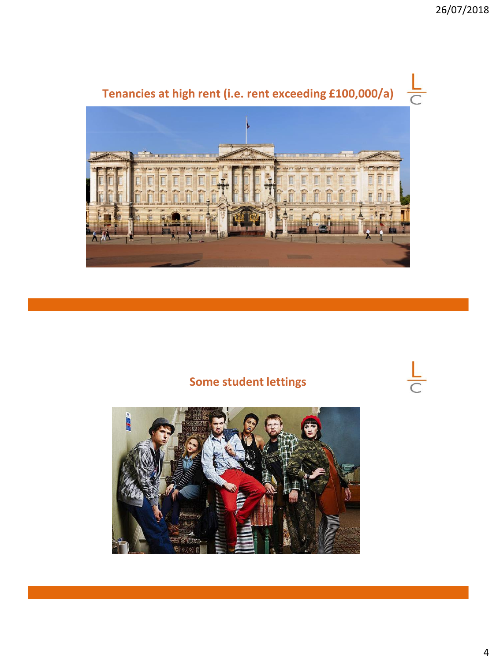

# **Some student lettings**

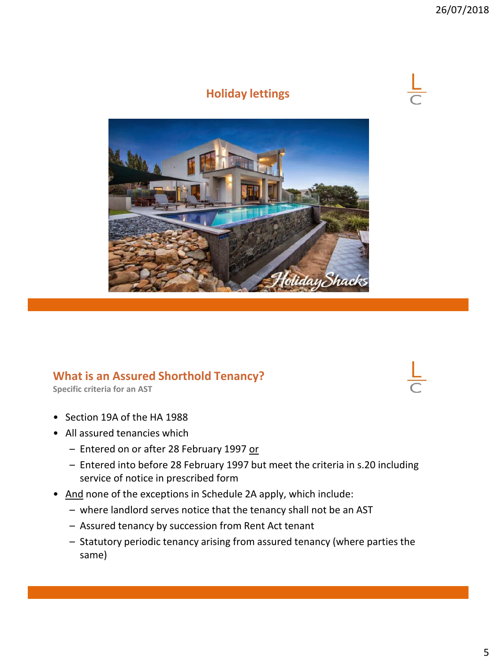

# **Holiday lettings**



#### **What is an Assured Shorthold Tenancy?**

**Specific criteria for an AST**

- Section 19A of the HA 1988
- All assured tenancies which
	- Entered on or after 28 February 1997 or
	- Entered into before 28 February 1997 but meet the criteria in s.20 including service of notice in prescribed form
- And none of the exceptions in Schedule 2A apply, which include:
	- where landlord serves notice that the tenancy shall not be an AST
	- Assured tenancy by succession from Rent Act tenant
	- Statutory periodic tenancy arising from assured tenancy (where parties the same)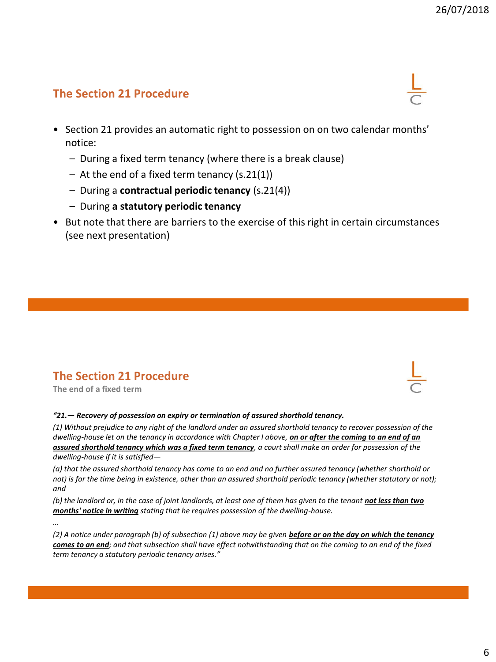- Section 21 provides an automatic right to possession on on two calendar months' notice:
	- During a fixed term tenancy (where there is a break clause)
	- At the end of a fixed term tenancy (s.21(1))
	- During a **contractual periodic tenancy** (s.21(4))
	- During **a statutory periodic tenancy**
- But note that there are barriers to the exercise of this right in certain circumstances (see next presentation)

# **The Section 21 Procedure**

**The end of a fixed term**

#### *"21.— Recovery of possession on expiry or termination of assured shorthold tenancy.*

*(1) Without prejudice to any right of the landlord under an assured shorthold tenancy to recover possession of the dwelling-house let on the tenancy in accordance with Chapter I above, on or after the coming to an end of an assured shorthold tenancy which was a fixed term tenancy, a court shall make an order for possession of the dwelling-house if it is satisfied—*

*(a) that the assured shorthold tenancy has come to an end and no further assured tenancy (whether shorthold or not)* is for the time being in existence, other than an assured shorthold periodic tenancy (whether statutory or not); *and*

*(b) the landlord or, in the case of joint landlords, at least one of them has given to the tenant not less than two months' notice in writing stating that he requires possession of the dwelling-house.*

*…*

*(2) A notice under paragraph (b) of subsection (1) above may be given before or on the day on which the tenancy comes to an end; and that subsection shall have effect notwithstanding that on the coming to an end of the fixed term tenancy a statutory periodic tenancy arises."*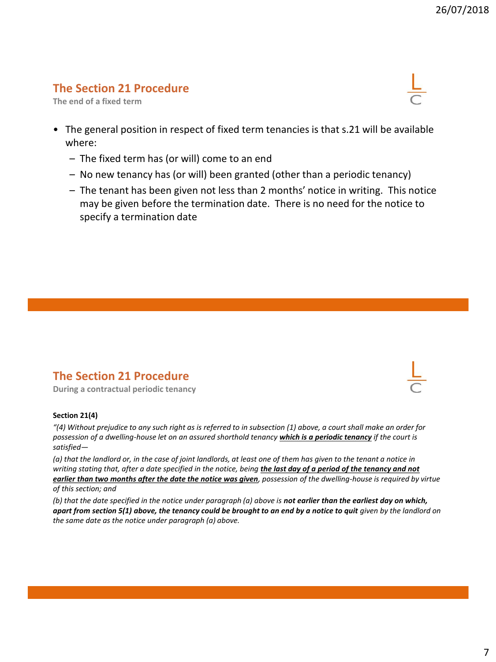**The end of a fixed term**



- The general position in respect of fixed term tenancies is that s.21 will be available where:
	- The fixed term has (or will) come to an end
	- No new tenancy has (or will) been granted (other than a periodic tenancy)
	- The tenant has been given not less than 2 months' notice in writing. This notice may be given before the termination date. There is no need for the notice to specify a termination date

#### **The Section 21 Procedure**

**During a contractual periodic tenancy**

#### **Section 21(4)**

*"(4) Without prejudice to any such right as is referred to in subsection (1) above, a court shall make an order for possession of a dwelling-house let on an assured shorthold tenancy which is a periodic tenancy if the court is satisfied—*

*(a) that the landlord or, in the case of joint landlords, at least one of them has given to the tenant a notice in*  writing stating that, after a date specified in the notice, being *the last day of a period of the tenancy and not earlier than two months after the date the notice was given, possession of the dwelling-house is required by virtue of this section; and*

*(b) that the date specified in the notice under paragraph (a) above is not earlier than the earliest day on which, apart from section 5(1) above, the tenancy could be brought to an end by a notice to quit given by the landlord on the same date as the notice under paragraph (a) above.*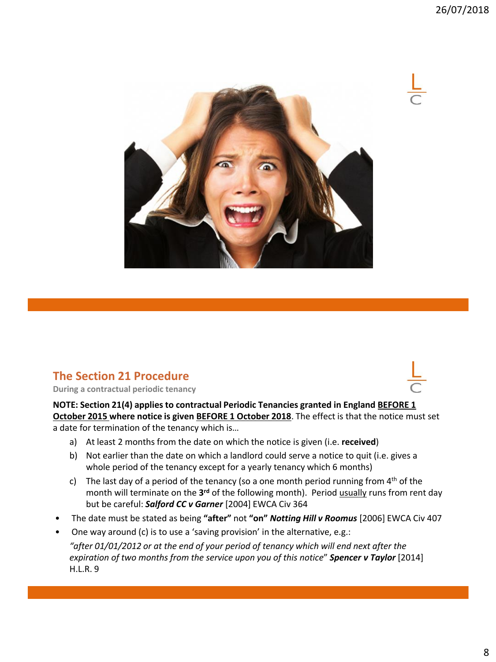

**During a contractual periodic tenancy**

**NOTE: Section 21(4) applies to contractual Periodic Tenancies granted in England BEFORE 1 October 2015 where notice is given BEFORE 1 October 2018**. The effect is that the notice must set a date for termination of the tenancy which is…

- a) At least 2 months from the date on which the notice is given (i.e. **received**)
- b) Not earlier than the date on which a landlord could serve a notice to quit (i.e. gives a whole period of the tenancy except for a yearly tenancy which 6 months)
- c) The last day of a period of the tenancy (so a one month period running from  $4<sup>th</sup>$  of the month will terminate on the **3 rd** of the following month). Period usually runs from rent day but be careful: *Salford CC v Garner* [2004] EWCA Civ 364
- The date must be stated as being **"after"** not **"on"** *Notting Hill v Roomus* [2006] EWCA Civ 407
- One way around (c) is to use a 'saving provision' in the alternative, e.g.: *"after 01/01/2012 or at the end of your period of tenancy which will end next after the expiration of two months from the service upon you of this notice*" *Spencer v Taylor* [2014] H.L.R. 9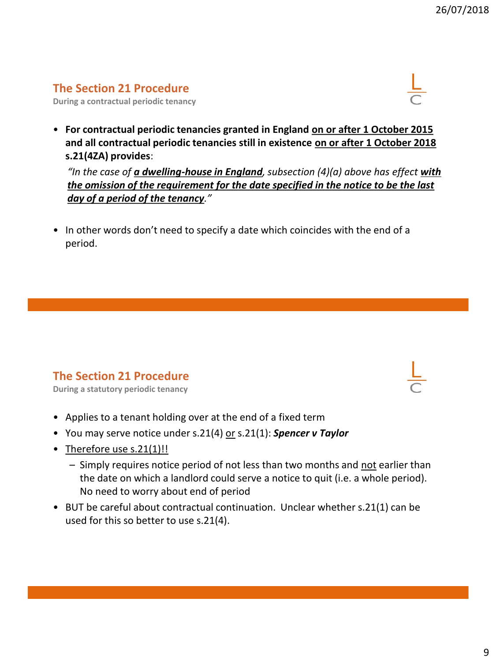**During a contractual periodic tenancy**



• **For contractual periodic tenancies granted in England on or after 1 October 2015 and all contractual periodic tenancies still in existence on or after 1 October 2018 s.21(4ZA) provides**:

*"In the case of a dwelling-house in England, subsection (4)(a) above has effect with the omission of the requirement for the date specified in the notice to be the last day of a period of the tenancy."*

• In other words don't need to specify a date which coincides with the end of a period.

# **The Section 21 Procedure**

**During a statutory periodic tenancy**

- Applies to a tenant holding over at the end of a fixed term
- You may serve notice under s.21(4) or s.21(1): *Spencer v Taylor*
- Therefore use s.21(1)!!
	- Simply requires notice period of not less than two months and not earlier than the date on which a landlord could serve a notice to quit (i.e. a whole period). No need to worry about end of period
- BUT be careful about contractual continuation. Unclear whether s.21(1) can be used for this so better to use s.21(4).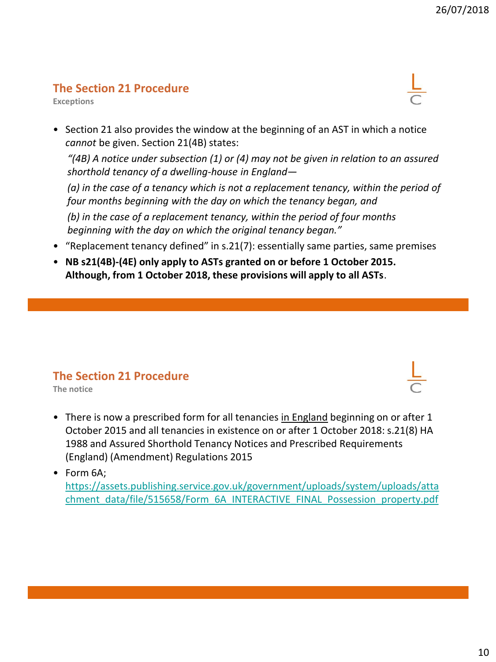**Exceptions**



• Section 21 also provides the window at the beginning of an AST in which a notice *cannot* be given. Section 21(4B) states:

*"(4B) A notice under subsection (1) or (4) may not be given in relation to an assured shorthold tenancy of a dwelling-house in England—*

*(a) in the case of a tenancy which is not a replacement tenancy, within the period of four months beginning with the day on which the tenancy began, and*

*(b) in the case of a replacement tenancy, within the period of four months beginning with the day on which the original tenancy began."*

- "Replacement tenancy defined" in s.21(7): essentially same parties, same premises
- **NB s21(4B)-(4E) only apply to ASTs granted on or before 1 October 2015. Although, from 1 October 2018, these provisions will apply to all ASTs**.

#### **The Section 21 Procedure**

**The notice**

• There is now a prescribed form for all tenancies in England beginning on or after 1 October 2015 and all tenancies in existence on or after 1 October 2018: s.21(8) HA 1988 and Assured Shorthold Tenancy Notices and Prescribed Requirements (England) (Amendment) Regulations 2015

• Form 6A;

[https://assets.publishing.service.gov.uk/government/uploads/system/uploads/atta](https://assets.publishing.service.gov.uk/government/uploads/system/uploads/attachment_data/file/515658/Form_6A_INTERACTIVE_FINAL_Possession_property.pdf) chment\_data/file/515658/Form\_6A\_INTERACTIVE\_FINAL\_Possession\_property.pdf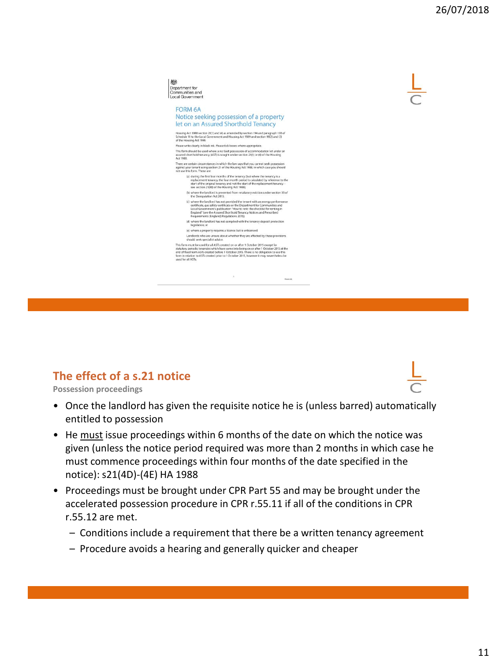

### **The effect of a s.21 notice**

**Possession proceedings**

- Once the landlord has given the requisite notice he is (unless barred) automatically entitled to possession
- He must issue proceedings within 6 months of the date on which the notice was given (unless the notice period required was more than 2 months in which case he must commence proceedings within four months of the date specified in the notice): s21(4D)-(4E) HA 1988
- Proceedings must be brought under CPR Part 55 and may be brought under the accelerated possession procedure in CPR r.55.11 if all of the conditions in CPR r.55.12 are met.
	- Conditions include a requirement that there be a written tenancy agreement
	- Procedure avoids a hearing and generally quicker and cheaper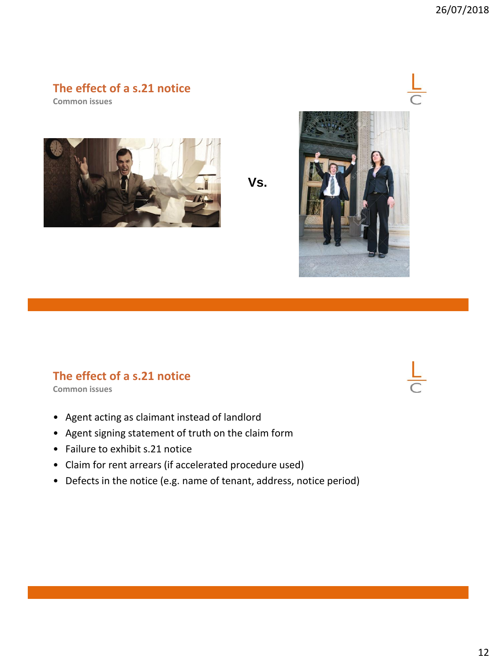### **The effect of a s.21 notice**

**Common issues**



**Vs.**



# **The effect of a s.21 notice**

**Common issues**

- Agent acting as claimant instead of landlord
- Agent signing statement of truth on the claim form
- Failure to exhibit s.21 notice
- Claim for rent arrears (if accelerated procedure used)
- Defects in the notice (e.g. name of tenant, address, notice period)

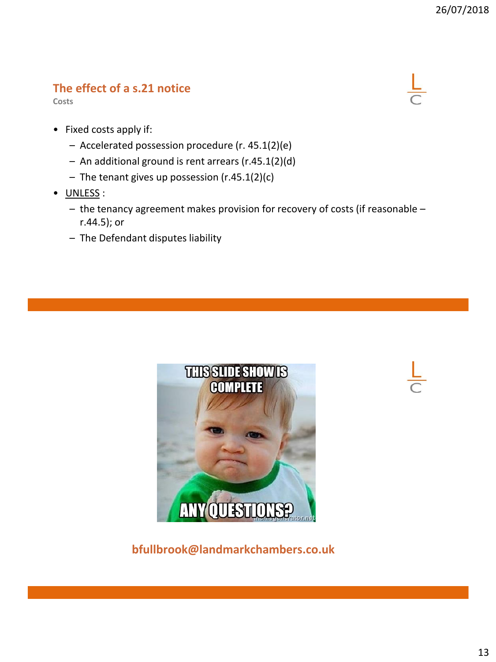# **The effect of a s.21 notice**

**Costs**



- Fixed costs apply if:
	- Accelerated possession procedure (r. 45.1(2)(e)
	- An additional ground is rent arrears (r.45.1(2)(d)
	- The tenant gives up possession (r.45.1(2)(c)
- UNLESS :
	- the tenancy agreement makes provision for recovery of costs (if reasonable r.44.5); or
	- The Defendant disputes liability





**bfullbrook@landmarkchambers.co.uk**